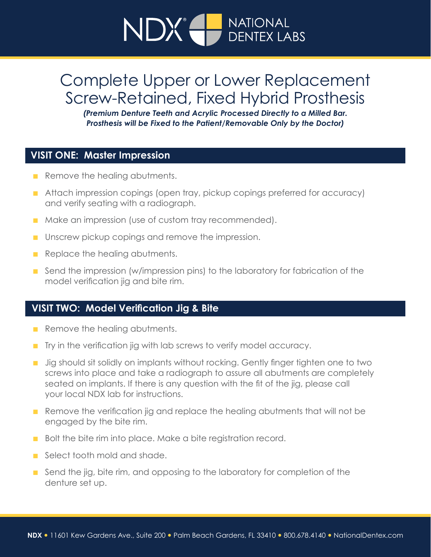# NDX<sup>®</sup> DENTEX LABS **NATIONAL**

## Complete Upper or Lower Replacement Screw-Retained, Fixed Hybrid Prosthesis

*(Premium Denture Teeth and Acrylic Processed Directly to a Milled Bar. Prosthesis will be Fixed to the Patient/Removable Only by the Doctor)*

## **VISIT ONE: Master Impression**

- **n** Remove the healing abutments.
- Attach impression copings (open tray, pickup copings preferred for accuracy) and verify seating with a radiograph.
- Make an impression (use of custom tray recommended).
- **n** Unscrew pickup copings and remove the impression.
- **n** Replace the healing abutments.
- **n** Send the impression (w/impression pins) to the laboratory for fabrication of the model verification jig and bite rim.

## **VISIT TWO: Model Verification Jig & Bite**

- **n** Remove the healing abutments.
- $\blacksquare$  Try in the verification jig with lab screws to verify model accuracy.
- Jig should sit solidly on implants without rocking. Gently finger tighten one to two screws into place and take a radiograph to assure all abutments are completely seated on implants. If there is any question with the fit of the jig, please call your local NDX lab for instructions.
- **n** Remove the verification jig and replace the healing abutments that will not be engaged by the bite rim.
- Bolt the bite rim into place. Make a bite registration record.
- n Select tooth mold and shade.
- $\blacksquare$  Send the jig, bite rim, and opposing to the laboratory for completion of the denture set up.